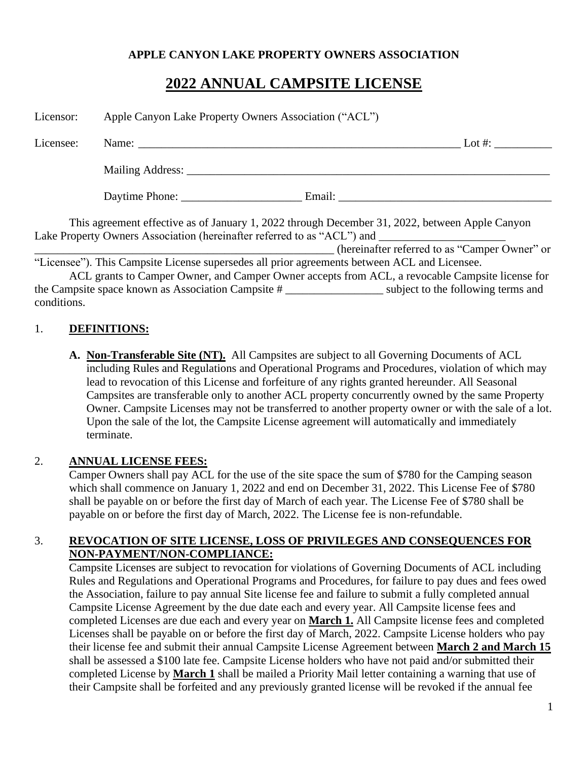#### **APPLE CANYON LAKE PROPERTY OWNERS ASSOCIATION**

# **2022 ANNUAL CAMPSITE LICENSE**

| Licensor: | Apple Canyon Lake Property Owners Association ("ACL") |                                                                                              |                                                                                                                                                                           |
|-----------|-------------------------------------------------------|----------------------------------------------------------------------------------------------|---------------------------------------------------------------------------------------------------------------------------------------------------------------------------|
| Licensee: |                                                       |                                                                                              |                                                                                                                                                                           |
|           |                                                       |                                                                                              |                                                                                                                                                                           |
|           |                                                       |                                                                                              | Daytime Phone: Email: Email:                                                                                                                                              |
|           |                                                       |                                                                                              | This agreement effective as of January 1, 2022 through December 31, 2022, between Apple Canyon<br>Lake Property Owners Association (hereinafter referred to as "ACL") and |
|           |                                                       |                                                                                              | (hereinafter referred to as "Camper Owner" or                                                                                                                             |
|           |                                                       | "Licensee"). This Campsite License supersedes all prior agreements between ACL and Licensee. |                                                                                                                                                                           |
|           |                                                       |                                                                                              | ACL grants to Camper Owner, and Camper Owner accepts from ACL, a revocable Campsite license for                                                                           |
|           |                                                       |                                                                                              | the Campsite space known as Association Campsite # _______________________ subject to the following terms and                                                             |

#### 1. **DEFINITIONS:**

conditions.

**A. Non-Transferable Site (NT).** All Campsites are subject to all Governing Documents of ACL including Rules and Regulations and Operational Programs and Procedures, violation of which may lead to revocation of this License and forfeiture of any rights granted hereunder. All Seasonal Campsites are transferable only to another ACL property concurrently owned by the same Property Owner. Campsite Licenses may not be transferred to another property owner or with the sale of a lot. Upon the sale of the lot, the Campsite License agreement will automatically and immediately terminate.

#### 2. **ANNUAL LICENSE FEES:**

Camper Owners shall pay ACL for the use of the site space the sum of \$780 for the Camping season which shall commence on January 1, 2022 and end on December 31, 2022. This License Fee of \$780 shall be payable on or before the first day of March of each year. The License Fee of \$780 shall be payable on or before the first day of March, 2022. The License fee is non-refundable.

#### 3. **REVOCATION OF SITE LICENSE, LOSS OF PRIVILEGES AND CONSEQUENCES FOR NON-PAYMENT/NON-COMPLIANCE:**

Campsite Licenses are subject to revocation for violations of Governing Documents of ACL including Rules and Regulations and Operational Programs and Procedures, for failure to pay dues and fees owed the Association, failure to pay annual Site license fee and failure to submit a fully completed annual Campsite License Agreement by the due date each and every year. All Campsite license fees and completed Licenses are due each and every year on **March 1.** All Campsite license fees and completed Licenses shall be payable on or before the first day of March, 2022. Campsite License holders who pay their license fee and submit their annual Campsite License Agreement between **March 2 and March 15** shall be assessed a \$100 late fee. Campsite License holders who have not paid and/or submitted their completed License by **March 1** shall be mailed a Priority Mail letter containing a warning that use of their Campsite shall be forfeited and any previously granted license will be revoked if the annual fee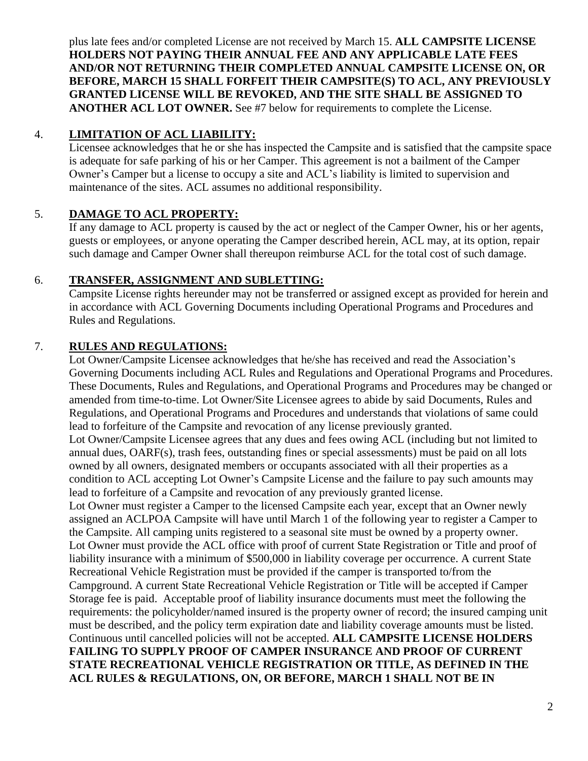plus late fees and/or completed License are not received by March 15. **ALL CAMPSITE LICENSE HOLDERS NOT PAYING THEIR ANNUAL FEE AND ANY APPLICABLE LATE FEES AND/OR NOT RETURNING THEIR COMPLETED ANNUAL CAMPSITE LICENSE ON, OR BEFORE, MARCH 15 SHALL FORFEIT THEIR CAMPSITE(S) TO ACL, ANY PREVIOUSLY GRANTED LICENSE WILL BE REVOKED, AND THE SITE SHALL BE ASSIGNED TO ANOTHER ACL LOT OWNER.** See #7 below for requirements to complete the License.

## 4. **LIMITATION OF ACL LIABILITY:**

Licensee acknowledges that he or she has inspected the Campsite and is satisfied that the campsite space is adequate for safe parking of his or her Camper. This agreement is not a bailment of the Camper Owner's Camper but a license to occupy a site and ACL's liability is limited to supervision and maintenance of the sites. ACL assumes no additional responsibility.

## 5. **DAMAGE TO ACL PROPERTY:**

If any damage to ACL property is caused by the act or neglect of the Camper Owner, his or her agents, guests or employees, or anyone operating the Camper described herein, ACL may, at its option, repair such damage and Camper Owner shall thereupon reimburse ACL for the total cost of such damage.

## 6. **TRANSFER, ASSIGNMENT AND SUBLETTING:**

Campsite License rights hereunder may not be transferred or assigned except as provided for herein and in accordance with ACL Governing Documents including Operational Programs and Procedures and Rules and Regulations.

## 7. **RULES AND REGULATIONS:**

Lot Owner/Campsite Licensee acknowledges that he/she has received and read the Association's Governing Documents including ACL Rules and Regulations and Operational Programs and Procedures. These Documents, Rules and Regulations, and Operational Programs and Procedures may be changed or amended from time-to-time. Lot Owner/Site Licensee agrees to abide by said Documents, Rules and Regulations, and Operational Programs and Procedures and understands that violations of same could lead to forfeiture of the Campsite and revocation of any license previously granted. Lot Owner/Campsite Licensee agrees that any dues and fees owing ACL (including but not limited to annual dues, OARF(s), trash fees, outstanding fines or special assessments) must be paid on all lots owned by all owners, designated members or occupants associated with all their properties as a condition to ACL accepting Lot Owner's Campsite License and the failure to pay such amounts may lead to forfeiture of a Campsite and revocation of any previously granted license. Lot Owner must register a Camper to the licensed Campsite each year, except that an Owner newly assigned an ACLPOA Campsite will have until March 1 of the following year to register a Camper to the Campsite. All camping units registered to a seasonal site must be owned by a property owner. Lot Owner must provide the ACL office with proof of current State Registration or Title and proof of liability insurance with a minimum of \$500,000 in liability coverage per occurrence. A current State Recreational Vehicle Registration must be provided if the camper is transported to/from the Campground. A current State Recreational Vehicle Registration or Title will be accepted if Camper Storage fee is paid. Acceptable proof of liability insurance documents must meet the following the requirements: the policyholder/named insured is the property owner of record; the insured camping unit must be described, and the policy term expiration date and liability coverage amounts must be listed. Continuous until cancelled policies will not be accepted. **ALL CAMPSITE LICENSE HOLDERS FAILING TO SUPPLY PROOF OF CAMPER INSURANCE AND PROOF OF CURRENT STATE RECREATIONAL VEHICLE REGISTRATION OR TITLE, AS DEFINED IN THE ACL RULES & REGULATIONS, ON, OR BEFORE, MARCH 1 SHALL NOT BE IN**